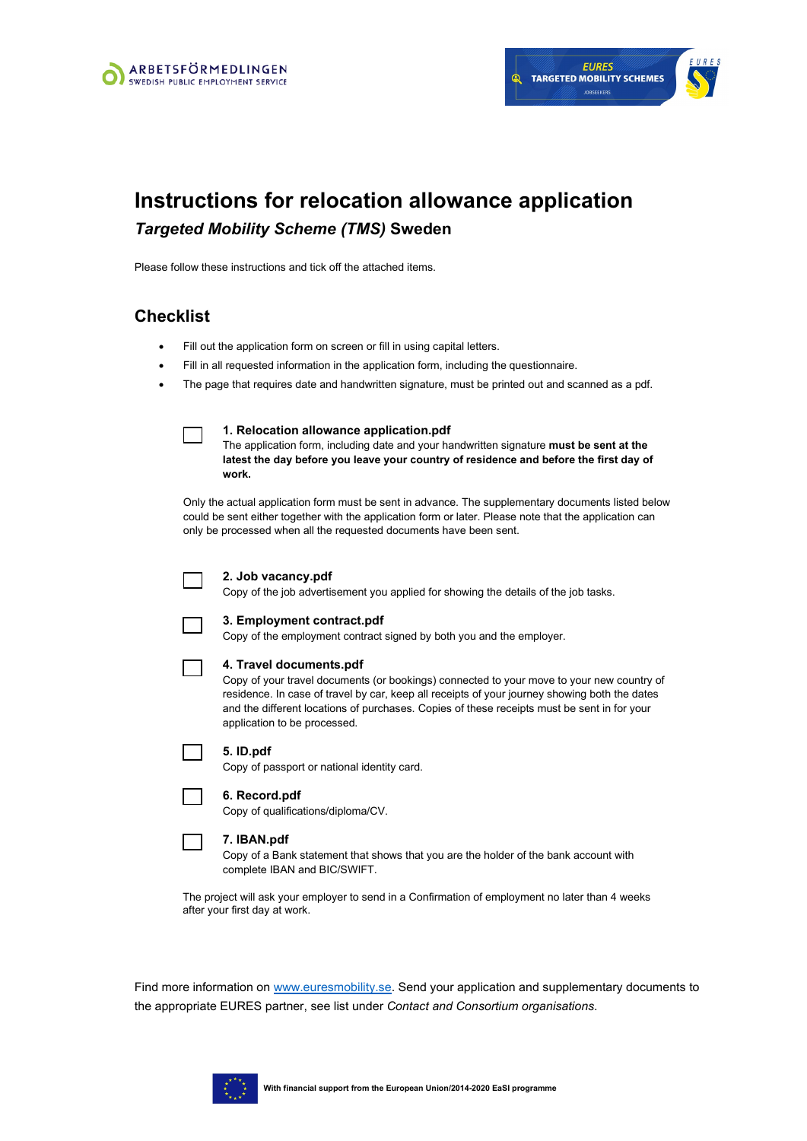

# **Instructions for relocation allowance application** *Targeted Mobility Scheme (TMS)* **Sweden**

Please follow these instructions and tick off the attached items.

### **Checklist**

- Fill out the application form on screen or fill in using capital letters.
- Fill in all requested information in the application form, including the questionnaire.
- The page that requires date and handwritten signature, must be printed out and scanned as a pdf.

#### **1. [Relocation allowance application.](https://www.arbetsformedlingen.se/download/18.35e8e8ea159c5a24b2c60491/1485945538459/2A-yfej-relocation-expenses.pdf)pdf**

The application form, including date and your handwritten signature **must be sent at the latest the day before you leave your country of residence and before the first day of work.**

Only the actual application form must be sent in advance. The supplementary documents listed below could be sent either together with the application form or later. Please note that the application can only be processed when all the requested documents have been sent.

#### **2. Job vacancy.pdf**

Copy of the job advertisement you applied for showing the details of the job tasks.



### **3. Employment contract.pdf**

Copy of the employment contract signed by both you and the employer.

### **4. Travel documents.pdf**

Copy of your travel documents (or bookings) connected to your move to your new country of residence. In case of travel by car, keep all receipts of your journey showing both the dates and the different locations of purchases. Copies of these receipts must be sent in for your application to be processed.

|  |  |  |  | 5. ID.pdf |
|--|--|--|--|-----------|
|--|--|--|--|-----------|

Copy of passport or national identity card.

### **6. Record.pdf**

Copy of qualifications/diploma/CV.

### **7. IBAN.pdf**

Copy of a Bank statement that shows that you are the holder of the bank account with complete IBAN and BIC/SWIFT.

The project will ask your employer to send in a Confirmation of employment no later than 4 weeks after your first day at work.

Find more information on [www.euresmobility.se.](http://www.euresmobility.se/) Send your application and supplementary documents to the appropriate EURES partner, see list under *Contact and Consortium organisations*.

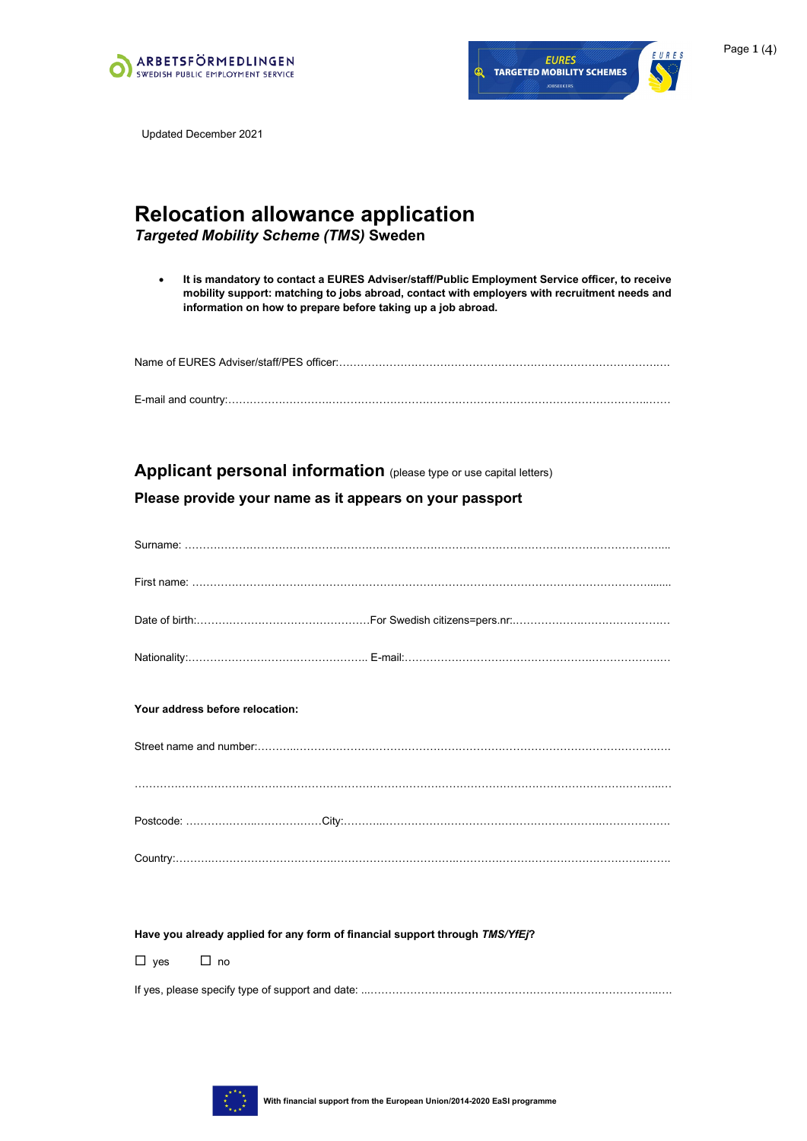



Updated December 2021

# **Relocation allowance application**

*Targeted Mobility Scheme (TMS)* **Sweden**

• **It is mandatory to contact a EURES Adviser/staff/Public Employment Service officer, to receive mobility support: matching to jobs abroad, contact with employers with recruitment needs and information on how to prepare before taking up a job abroad.**

Name of EURES Adviser/staff/PES officer:…………………………………………………………………………….….

E-mail and country:……………………….……………………………………………………………………………..……

### **Applicant personal information** (please type or use capital letters)

### **Please provide your name as it appears on your passport**

| Your address before relocation: |  |
|---------------------------------|--|
|                                 |  |
|                                 |  |
|                                 |  |
|                                 |  |

**Have you already applied for any form of financial support through** *TMS/YfEj***?**

 $\Box$  yes  $\Box$  no

If yes, please specify type of support and date: ...……………………………………………………………………..….

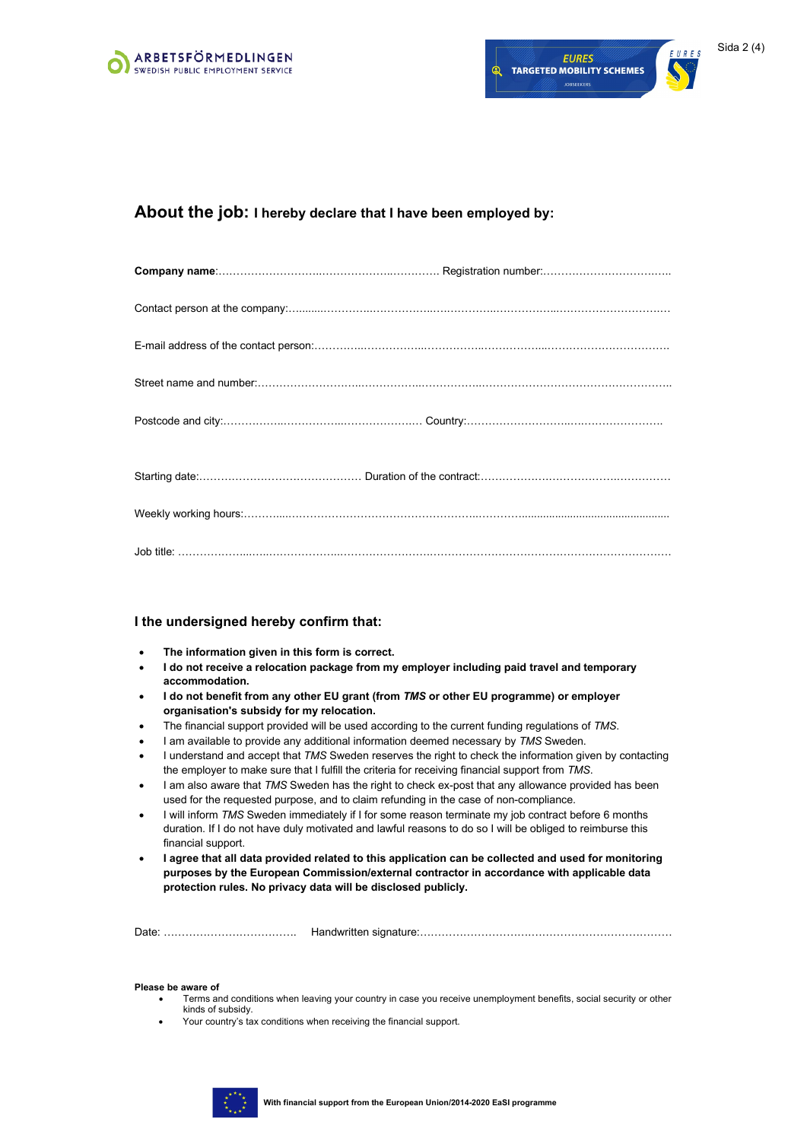



### **About the job: I hereby declare that I have been employed by:**

### **I the undersigned hereby confirm that:**

- **The information given in this form is correct.**
- **I do not receive a relocation package from my employer including paid travel and temporary accommodation.**
- **I do not benefit from any other EU grant (from** *TMS* **or other EU programme) or employer organisation's subsidy for my relocation.**
- The financial support provided will be used according to the current funding regulations of *TMS*.
- I am available to provide any additional information deemed necessary by *TMS* Sweden.
- I understand and accept that *TMS* Sweden reserves the right to check the information given by contacting the employer to make sure that I fulfill the criteria for receiving financial support from *TMS*.
- I am also aware that *TMS* Sweden has the right to check ex-post that any allowance provided has been used for the requested purpose, and to claim refunding in the case of non-compliance.
- I will inform *TMS* Sweden immediately if I for some reason terminate my job contract before 6 months duration. If I do not have duly motivated and lawful reasons to do so I will be obliged to reimburse this financial support.
- **I agree that all data provided related to this application can be collected and used for monitoring purposes by the European Commission/external contractor in accordance with applicable data protection rules. No privacy data will be disclosed publicly.**

Date: ………………………………. Handwritten signature:………………………….…………………………………

#### **Please be aware of**

- Terms and conditions when leaving your country in case you receive unemployment benefits, social security or other kinds of subsidy.
- Your country's tax conditions when receiving the financial support.

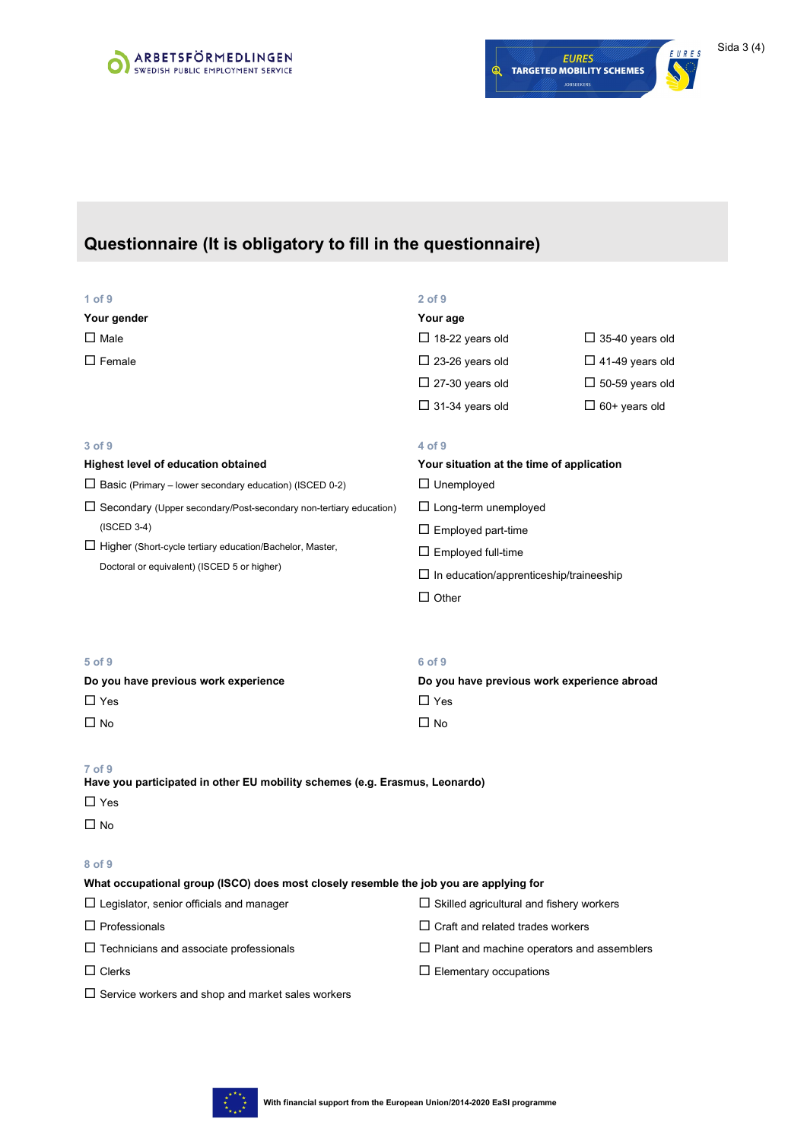



## **Questionnaire (It is obligatory to fill in the questionnaire)**

| $1$ of $9$<br>Your gender                                                                                        | $2$ of $9$<br>Your age                                |                        |  |  |  |
|------------------------------------------------------------------------------------------------------------------|-------------------------------------------------------|------------------------|--|--|--|
| $\square$ Male                                                                                                   | $\Box$ 18-22 years old                                | $\Box$ 35-40 years old |  |  |  |
| $\square$ Female                                                                                                 | $\Box$ 23-26 years old                                | $\Box$ 41-49 years old |  |  |  |
|                                                                                                                  | $\Box$ 27-30 years old                                | $\Box$ 50-59 years old |  |  |  |
|                                                                                                                  | $\Box$ 31-34 years old                                | $\Box$ 60+ years old   |  |  |  |
| 3 of 9                                                                                                           | 4 of 9                                                |                        |  |  |  |
| <b>Highest level of education obtained</b>                                                                       | Your situation at the time of application             |                        |  |  |  |
| $\Box$ Basic (Primary – lower secondary education) (ISCED 0-2)                                                   | $\Box$ Unemployed                                     |                        |  |  |  |
| □ Secondary (Upper secondary/Post-secondary non-tertiary education)                                              | $\Box$ Long-term unemployed                           |                        |  |  |  |
| $(ISCED 3-4)$                                                                                                    | $\Box$ Employed part-time                             |                        |  |  |  |
| □ Higher (Short-cycle tertiary education/Bachelor, Master,                                                       | $\Box$ Employed full-time                             |                        |  |  |  |
| Doctoral or equivalent) (ISCED 5 or higher)                                                                      | $\Box$ In education/apprenticeship/traineeship        |                        |  |  |  |
|                                                                                                                  | $\Box$ Other                                          |                        |  |  |  |
| 5 of 9<br>Do you have previous work experience                                                                   | 6 of 9<br>Do you have previous work experience abroad |                        |  |  |  |
| $\Box$ Yes                                                                                                       | $\Box$ Yes                                            |                        |  |  |  |
| $\Box$ No                                                                                                        | $\Box$ No                                             |                        |  |  |  |
| 7 of 9<br>Have you participated in other EU mobility schemes (e.g. Erasmus, Leonardo)<br>$\Box$ Yes<br>$\Box$ No |                                                       |                        |  |  |  |
| 8 of 9                                                                                                           |                                                       |                        |  |  |  |
| What occupational group (ISCO) does most closely resemble the job you are applying for                           |                                                       |                        |  |  |  |
| $\Box$ Legislator, senior officials and manager                                                                  | $\Box$ Skilled agricultural and fishery workers       |                        |  |  |  |
| $\Box$ Professionals                                                                                             | $\Box$ Craft and related trades workers               |                        |  |  |  |
| $\Box$ Technicians and associate professionals                                                                   | $\Box$ Plant and machine operators and assemblers     |                        |  |  |  |
| $\sqcup$ Clerks                                                                                                  | $\Box$ Elementary occupations                         |                        |  |  |  |